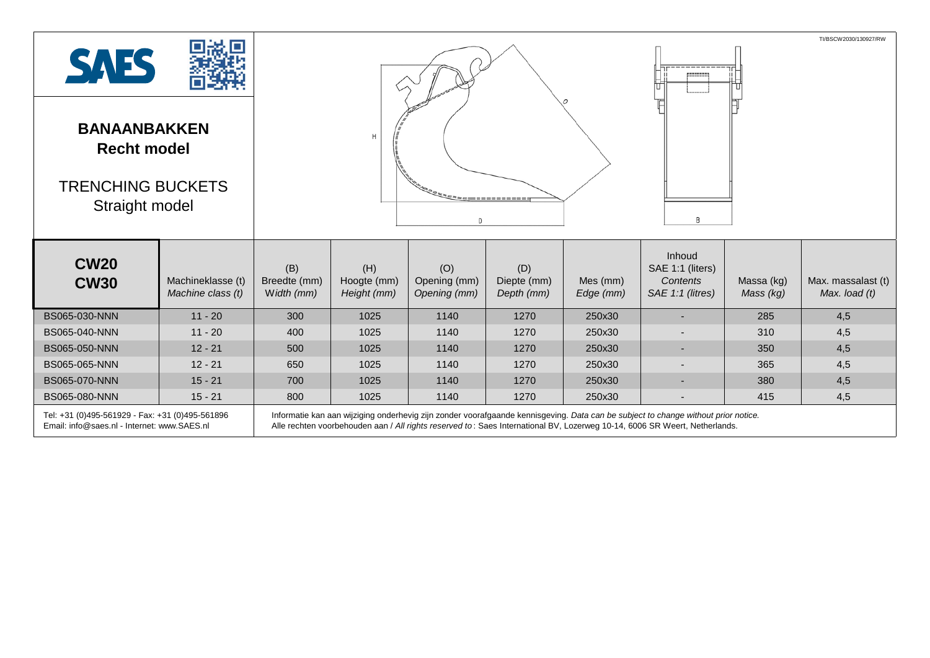| <b>SAES</b><br><b>BANAANBAKKEN</b><br><b>Recht model</b><br><b>TRENCHING BUCKETS</b><br>Straight model |                                        |                                                                                                                                                                                                                                                                  |                                   |                                     |                                  |                       | TI/BSCW2030/130927/RW<br>B                                 |                         |                                      |  |
|--------------------------------------------------------------------------------------------------------|----------------------------------------|------------------------------------------------------------------------------------------------------------------------------------------------------------------------------------------------------------------------------------------------------------------|-----------------------------------|-------------------------------------|----------------------------------|-----------------------|------------------------------------------------------------|-------------------------|--------------------------------------|--|
| <b>CW20</b><br><b>CW30</b>                                                                             | Machineklasse (t)<br>Machine class (t) | (B)<br>Breedte (mm)<br>Width (mm)                                                                                                                                                                                                                                | (H)<br>Hoogte (mm)<br>Height (mm) | (O)<br>Opening (mm)<br>Opening (mm) | (D)<br>Diepte (mm)<br>Depth (mm) | Mes (mm)<br>Edge (mm) | Inhoud<br>SAE 1:1 (liters)<br>Contents<br>SAE 1:1 (litres) | Massa (kg)<br>Mass (kg) | Max. massalast (t)<br>Max. $load(t)$ |  |
| BS065-030-NNN                                                                                          | $11 - 20$                              | 300                                                                                                                                                                                                                                                              | 1025                              | 1140                                | 1270                             | 250x30                |                                                            | 285                     | 4,5                                  |  |
| BS065-040-NNN                                                                                          | $11 - 20$                              | 400                                                                                                                                                                                                                                                              | 1025                              | 1140                                | 1270                             | 250x30                |                                                            | 310                     | 4,5                                  |  |
| BS065-050-NNN                                                                                          | $12 - 21$                              | 500                                                                                                                                                                                                                                                              | 1025                              | 1140                                | 1270                             | 250x30                | ٠                                                          | 350                     | 4,5                                  |  |
| BS065-065-NNN                                                                                          | $12 - 21$                              | 650                                                                                                                                                                                                                                                              | 1025                              | 1140                                | 1270                             | 250x30                | $\overline{\phantom{a}}$                                   | 365                     | 4,5                                  |  |
| BS065-070-NNN                                                                                          | $15 - 21$                              | 700                                                                                                                                                                                                                                                              | 1025                              | 1140                                | 1270                             | 250x30                | $\overline{\phantom{a}}$                                   | 380                     | 4,5                                  |  |
| BS065-080-NNN                                                                                          | $15 - 21$                              | 800                                                                                                                                                                                                                                                              | 1025                              | 1140                                | 1270                             | 250x30                | $\overline{\phantom{a}}$                                   | 415                     | 4,5                                  |  |
| Tel: +31 (0)495-561929 - Fax: +31 (0)495-561896<br>Email: info@saes.nl - Internet: www.SAES.nl         |                                        | Informatie kan aan wijziging onderhevig zijn zonder voorafgaande kennisgeving. Data can be subject to change without prior notice.<br>Alle rechten voorbehouden aan / All rights reserved to: Saes International BV, Lozerweg 10-14, 6006 SR Weert, Netherlands. |                                   |                                     |                                  |                       |                                                            |                         |                                      |  |